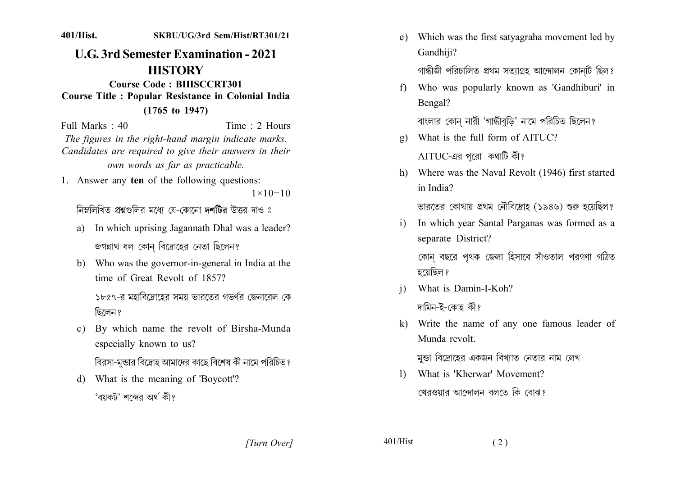401/Hist. SKBU/UG/3rd Sem/Hist/RT301/21

## **U.G. 3rd Semester Examination - 2021 HISTORY**

Course Code: BHISCCRT301 **Course Title: Popular Resistance in Colonial India**  $(1765 \text{ to } 1947)$ 

Time  $\cdot$  2 Hours Full Marks  $\cdot$  40 The figures in the right-hand margin indicate marks. Candidates are required to give their answers in their own words as far as practicable.

1. Answer any ten of the following questions:  $1 \times 10 = 10$ 

নিম্নলিখিত প্রশ্নগুলির মধ্যে যে-কোনো **দশটির** উত্তর দাও ঃ

- In which uprising Jagannath Dhal was a leader? a) জগন্নাথ ধল কোন বিদ্রোহের নেতা ছিলেন?
- b) Who was the governor-in-general in India at the time of Great Revolt of 1857?

১৮৫৭-র মহাবিদ্রোহের সময় ভারতের গভর্ণর জেনারেল কে ছিলেন ?

c) By which name the revolt of Birsha-Munda especially known to us?

বিরসা-মুন্ডার বিদ্রোহ আমাদের কাছে বিশেষ কী নামে পরিচিত?

d) What is the meaning of 'Boycott'? 'বয়কট' শব্দেব অৰ্থ কী?

e) Which was the first satyagraha movement led by Gandhiii?

গান্ধীজী পরিচালিত প্রথম সত্যাগ্রহ আন্দোলন কোনটি ছিল?

Who was popularly known as 'Gandhiburi' in  $f$ Bengal?

বাংলার কোন নারী 'গান্ধীবৃডি' নামে পরিচিত ছিলেন?

- What is the full form of AITUC?  $\mathbf{g}$ ) AITUC-এর পরো কথাটি কী?
- h) Where was the Naval Revolt (1946) first started in India?

ভারতের কোথায় প্রথম নৌবিদ্রোহ (১৯৪৬) শুরু হয়েছিল?

In which year Santal Parganas was formed as a  $\mathbf{i}$ separate District?

কোন বছরে পৃথক জেলা হিসাবে সাঁওতাল পরগণা গঠিত হয়েছিল ?

- What is Damin-I-Koh?  $\overline{1}$ দামিন-ই-কোহ কী?
- k) Write the name of any one famous leader of Munda revolt

মন্ডা বিদ্রোহের একজন বিখ্যাত নেতার নাম লেখ।

1) What is 'Kherwar' Movement? খেরওয়ার আন্দোলন বলতে কি বোঝ?

[Turn Over]

 $401/H$ ist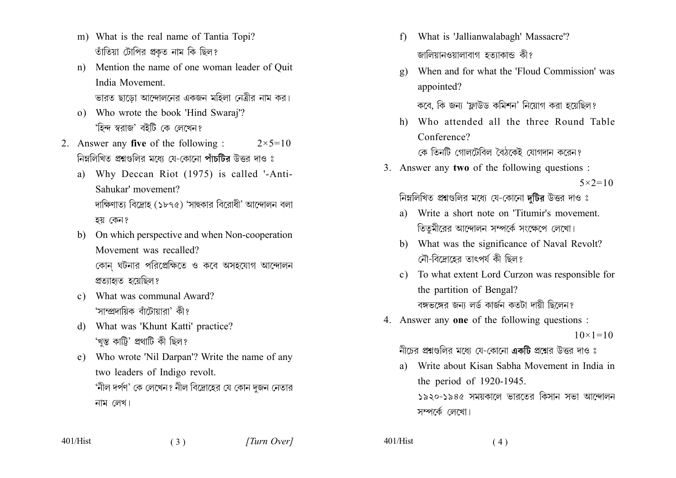- m) What is the real name of Tantia Topi? তাঁতিয়া টোপির প্রকৃত নাম কি ছিল?
- Mention the name of one woman leader of Quit  $n$ ) India Movement ভারত ছাডো আন্দোলনের একজন মহিলা নেত্রীর নাম কর।
- o) Who wrote the book 'Hind Swaraj'?
	- 'হিন্দ স্বরাজ' বইটি কে লেখেন?
- 2. Answer any five of the following:  $2 \times 5 = 10$ নিম্নলিখিত প্রশ্নগুলির মধ্যে যে-কোনো পাঁচটির উত্তর দাও ঃ
	- a) Why Deccan Riot (1975) is called '-Anti-Sahukar' movement? দাক্ষিণাত্য বিদ্ৰোহ (১৮৭৫) 'সাছকার বিরোধী' আন্দোলন বলা হয় কেন?
	- b) On which perspective and when Non-cooperation Movement was recalled? কোন ঘটনার পরিপ্রেক্ষিতে ও কবে অসহযোগ আন্দোলন প্রত্যাহৃত হয়েছিল?
	- What was communal Award?  $c)$ 'সাম্প্রদায়িক বাঁটোয়ারা' কী?
	- d) What was 'Khunt Katti' practice? 'খন্ত কাট্টি' প্ৰথাটি কী ছিল?
	- e) Who wrote 'Nil Darpan'? Write the name of any two leaders of Indigo revolt. 'নীল দর্পণ' কে লেখেন? নীল বিদ্রোহের যে কোন দজন নেতার নাম লেখ।

 $(3)$ 

- f) What is 'Jallianwalabagh' Massacre'? জালিয়ানওয়ালাবাগ হতাাকান্ড কী?
- When and for what the 'Floud Commission' was  $\mathbf{g}$ ) appointed?

কবে, কি জন্য 'ফ্লাউড কমিশন' নিয়োগ করা হয়েছিল?

h) Who attended all the three Round Table Conference?

কে তিনটি গোলটেবিল বৈঠকেই যোগদান করেন?

3. Answer any two of the following questions:

 $5 \times 2 = 10$ 

নিম্নলিখিত প্রশ্নগুলির মধ্যে যে-কোনো দুটির উত্তর দাও ঃ

- Write a short note on 'Titumir's movement. a) তিত্মীরের আন্দোলন সম্পর্কে সংক্ষেপে লেখো।
- b) What was the significance of Naval Revolt? নৌ-বিদ্রোহের তাৎপর্য কী ছিল?
- c) To what extent Lord Curzon was responsible for the partition of Bengal? বঙ্গভঙ্গের জন্য লর্ড কার্জন কতটা দায়ী ছিলেন?
- 4. Answer any one of the following questions :

 $10 \times 1 = 10$ 

নীচের প্রশ্নগুলির মধ্যে যে-কোনো একটি প্রশ্নের উত্তর দাও ঃ

Write about Kisan Sabha Movement in India in a) the period of 1920-1945. ১৯২০-১৯৪৫ সময়কালে ভারতের কিসান সভা আন্দোলন সম্পর্কে লেখো।

 $401/H$ ist